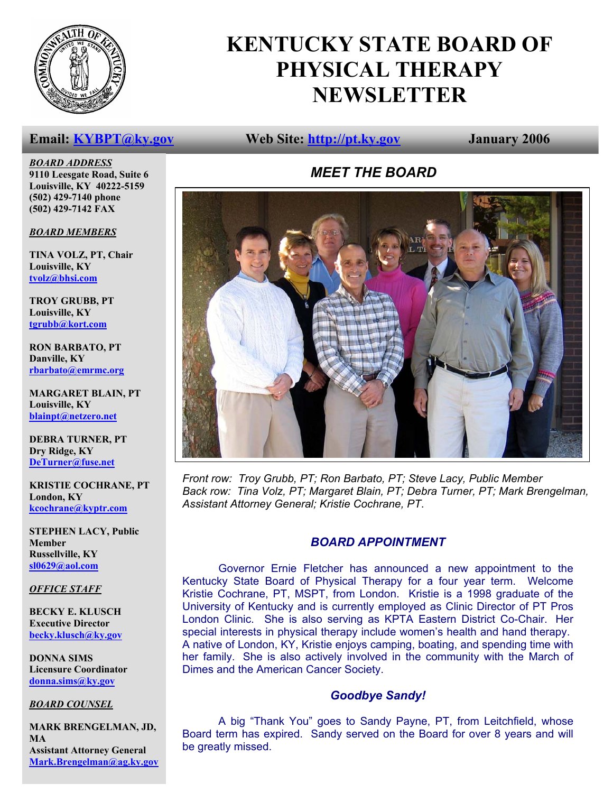

## **KENTUCKY STATE BOARD OF PHYSICAL THERAPY NEWSLETTER**

### **Email: KYBPT@ky.gov Web Site: http://pt.ky.gov January 2006**

*MEET THE BOARD* 



*Front row: Troy Grubb, PT; Ron Barbato, PT; Steve Lacy, Public Member Back row: Tina Volz, PT; Margaret Blain, PT; Debra Turner, PT; Mark Brengelman, Assistant Attorney General; Kristie Cochrane, PT*.

### *BOARD APPOINTMENT*

 Governor Ernie Fletcher has announced a new appointment to the Kentucky State Board of Physical Therapy for a four year term. Welcome Kristie Cochrane, PT, MSPT, from London. Kristie is a 1998 graduate of the University of Kentucky and is currently employed as Clinic Director of PT Pros London Clinic. She is also serving as KPTA Eastern District Co-Chair. Her special interests in physical therapy include women's health and hand therapy. A native of London, KY, Kristie enjoys camping, boating, and spending time with her family. She is also actively involved in the community with the March of Dimes and the American Cancer Society.

### *Goodbye Sandy!*

 A big "Thank You" goes to Sandy Payne, PT, from Leitchfield, whose Board term has expired. Sandy served on the Board for over 8 years and will be greatly missed.

*BOARD ADDRESS* **9110 Leesgate Road, Suite 6 Louisville, KY 40222-5159 (502) 429-7140 phone (502) 429-7142 FAX** 

### *BOARD MEMBERS*

**TINA VOLZ, PT, Chair Louisville, KY tvolz@bhsi.com**

**TROY GRUBB, PT Louisville, KY tgrubb@kort.com**

**RON BARBATO, PT Danville, KY rbarbato@emrmc.org**

**MARGARET BLAIN, PT Louisville, KY blainpt@netzero.net**

**DEBRA TURNER, PT Dry Ridge, KY DeTurner@fuse.net**

**KRISTIE COCHRANE, PT London, KY kcochrane@kyptr.com**

**STEPHEN LACY, Public Member Russellville, KY sl0629@aol.com**

### *OFFICE STAFF*

**BECKY E. KLUSCH Executive Director becky.klusch@ky.gov**

**DONNA SIMS Licensure Coordinator donna.sims@ky.gov**

### *BOARD COUNSEL*

**MARK BRENGELMAN, JD, MA Assistant Attorney General Mark.Brengelman@ag.ky.gov**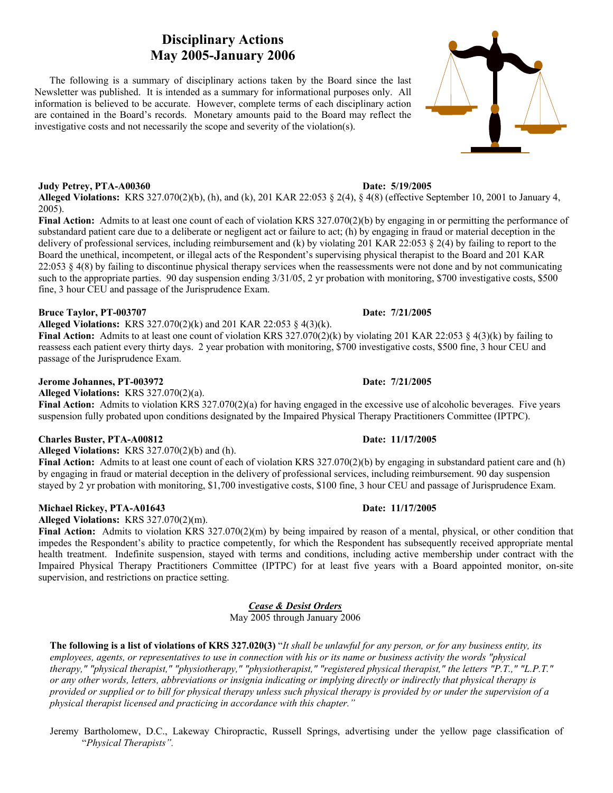### **Disciplinary Actions May 2005-January 2006**

 The following is a summary of disciplinary actions taken by the Board since the last Newsletter was published. It is intended as a summary for informational purposes only. All information is believed to be accurate. However, complete terms of each disciplinary action are contained in the Board's records. Monetary amounts paid to the Board may reflect the investigative costs and not necessarily the scope and severity of the violation(s).

### **Judy Petrey, PTA-A00360** Date: 5/19/2005

**Alleged Violations:** KRS 327.070(2)(b), (h), and (k), 201 KAR 22:053 § 2(4), § 4(8) (effective September 10, 2001 to January 4, 2005).

**Final Action:** Admits to at least one count of each of violation KRS 327.070(2)(b) by engaging in or permitting the performance of substandard patient care due to a deliberate or negligent act or failure to act; (h) by engaging in fraud or material deception in the delivery of professional services, including reimbursement and (k) by violating 201 KAR 22:053 § 2(4) by failing to report to the Board the unethical, incompetent, or illegal acts of the Respondent's supervising physical therapist to the Board and 201 KAR  $22:053 \& 4(8)$  by failing to discontinue physical therapy services when the reassessments were not done and by not communicating such to the appropriate parties. 90 day suspension ending 3/31/05, 2 yr probation with monitoring, \$700 investigative costs, \$500 fine, 3 hour CEU and passage of the Jurisprudence Exam.

### **Bruce Taylor, PT-003707 Date: 7/21/2005**

**Alleged Violations:** KRS 327.070(2)(k) and 201 KAR 22:053 § 4(3)(k).

**Final Action:** Admits to at least one count of violation KRS 327.070(2)(k) by violating 201 KAR 22:053 § 4(3)(k) by failing to reassess each patient every thirty days. 2 year probation with monitoring, \$700 investigative costs, \$500 fine, 3 hour CEU and passage of the Jurisprudence Exam.

### **Jerome Johannes, PT-003972** Date: 7/21/2005

**Alleged Violations:** KRS 327.070(2)(a).

**Final Action:** Admits to violation KRS 327.070(2)(a) for having engaged in the excessive use of alcoholic beverages. Five years suspension fully probated upon conditions designated by the Impaired Physical Therapy Practitioners Committee (IPTPC).

### **Charles Buster, PTA-A00812 Date: 11/17/2005**

**Alleged Violations:** KRS 327.070(2)(b) and (h).

**Final Action:** Admits to at least one count of each of violation KRS 327.070(2)(b) by engaging in substandard patient care and (h) by engaging in fraud or material deception in the delivery of professional services, including reimbursement. 90 day suspension stayed by 2 yr probation with monitoring, \$1,700 investigative costs, \$100 fine, 3 hour CEU and passage of Jurisprudence Exam.

### **Michael Rickey, PTA-A01643 Date: 11/17/2005**

**Alleged Violations:** KRS 327.070(2)(m).

**Final Action:** Admits to violation KRS 327.070(2)(m) by being impaired by reason of a mental, physical, or other condition that impedes the Respondent's ability to practice competently, for which the Respondent has subsequently received appropriate mental health treatment. Indefinite suspension, stayed with terms and conditions, including active membership under contract with the Impaired Physical Therapy Practitioners Committee (IPTPC) for at least five years with a Board appointed monitor, on-site supervision, and restrictions on practice setting.

*Cease & Desist Orders*

May 2005 through January 2006

 **The following is a list of violations of KRS 327.020(3)** "*It shall be unlawful for any person, or for any business entity, its employees, agents, or representatives to use in connection with his or its name or business activity the words "physical therapy," "physical therapist," "physiotherapy," "physiotherapist," "registered physical therapist," the letters "P.T.," "L.P.T." or any other words, letters, abbreviations or insignia indicating or implying directly or indirectly that physical therapy is provided or supplied or to bill for physical therapy unless such physical therapy is provided by or under the supervision of a physical therapist licensed and practicing in accordance with this chapter."* 

 Jeremy Bartholomew, D.C., Lakeway Chiropractic, Russell Springs, advertising under the yellow page classification of "*Physical Therapists".*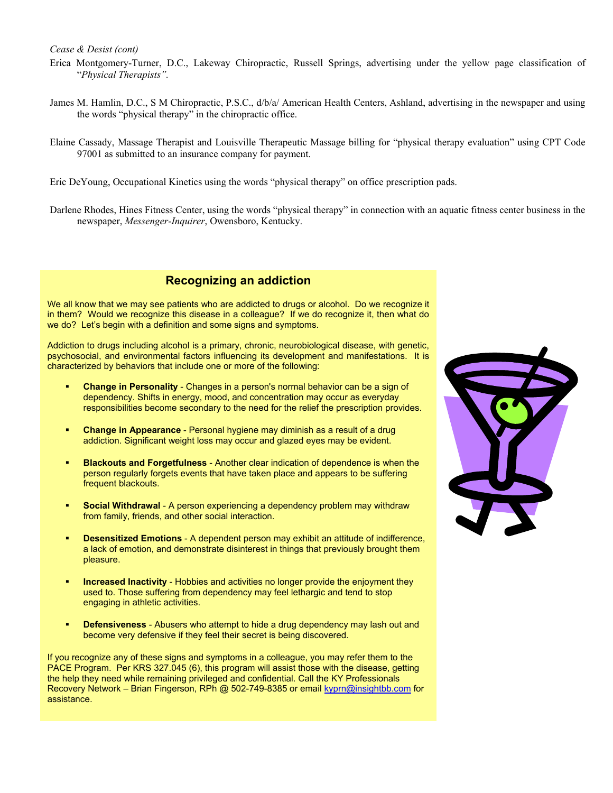*Cease & Desist (cont)* 

- Erica Montgomery-Turner, D.C., Lakeway Chiropractic, Russell Springs, advertising under the yellow page classification of "*Physical Therapists".*
- James M. Hamlin, D.C., S M Chiropractic, P.S.C., d/b/a/ American Health Centers, Ashland, advertising in the newspaper and using the words "physical therapy" in the chiropractic office.
- Elaine Cassady, Massage Therapist and Louisville Therapeutic Massage billing for "physical therapy evaluation" using CPT Code 97001 as submitted to an insurance company for payment.
- Eric DeYoung, Occupational Kinetics using the words "physical therapy" on office prescription pads.
- Darlene Rhodes, Hines Fitness Center, using the words "physical therapy" in connection with an aquatic fitness center business in the newspaper, *Messenger-Inquirer*, Owensboro, Kentucky.

### **Recognizing an addiction**

We all know that we may see patients who are addicted to drugs or alcohol. Do we recognize it in them? Would we recognize this disease in a colleague? If we do recognize it, then what do we do? Let's begin with a definition and some signs and symptoms.

Addiction to drugs including alcohol is a primary, chronic, neurobiological disease, with genetic, psychosocial, and environmental factors influencing its development and manifestations. It is characterized by behaviors that include one or more of the following:

- **Change in Personality** Changes in a person's normal behavior can be a sign of dependency. Shifts in energy, mood, and concentration may occur as everyday responsibilities become secondary to the need for the relief the prescription provides.
- **Change in Appearance** Personal hygiene may diminish as a result of a drug addiction. Significant weight loss may occur and glazed eyes may be evident.
- **Blackouts and Forgetfulness** Another clear indication of dependence is when the person regularly forgets events that have taken place and appears to be suffering frequent blackouts.
- **Social Withdrawal** A person experiencing a dependency problem may withdraw from family, friends, and other social interaction.
- **Desensitized Emotions** A dependent person may exhibit an attitude of indifference, a lack of emotion, and demonstrate disinterest in things that previously brought them pleasure.
- **Increased Inactivity** Hobbies and activities no longer provide the enjoyment they used to. Those suffering from dependency may feel lethargic and tend to stop engaging in athletic activities.
- **Defensiveness** Abusers who attempt to hide a drug dependency may lash out and become very defensive if they feel their secret is being discovered.

If you recognize any of these signs and symptoms in a colleague, you may refer them to the PACE Program. Per KRS 327.045 (6), this program will assist those with the disease, getting the help they need while remaining privileged and confidential. Call the KY Professionals Recovery Network – Brian Fingerson, RPh @ 502-749-8385 or email kyprn@insightbb.com for assistance.

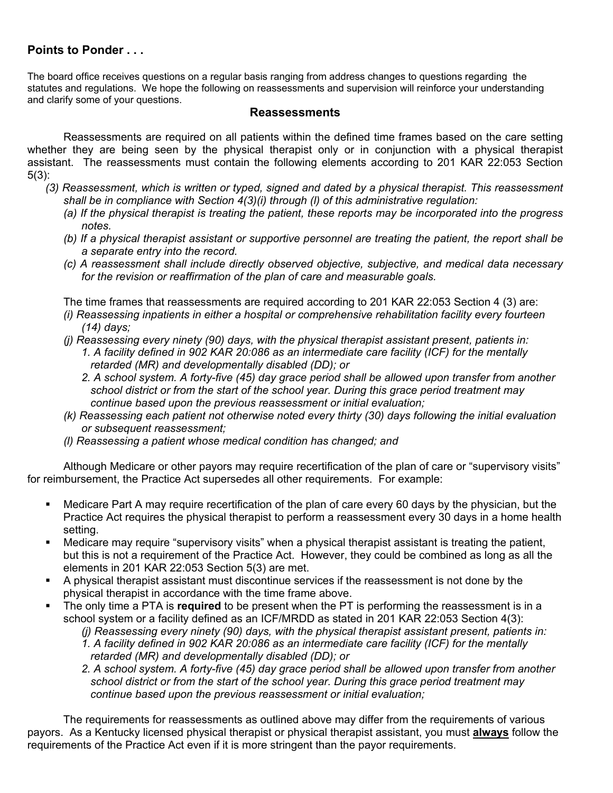### **Points to Ponder . . .**

The board office receives questions on a regular basis ranging from address changes to questions regarding the statutes and regulations. We hope the following on reassessments and supervision will reinforce your understanding and clarify some of your questions.

### **Reassessments**

Reassessments are required on all patients within the defined time frames based on the care setting whether they are being seen by the physical therapist only or in conjunction with a physical therapist assistant. The reassessments must contain the following elements according to 201 KAR 22:053 Section 5(3):

- *(3) Reassessment, which is written or typed, signed and dated by a physical therapist. This reassessment shall be in compliance with Section 4(3)(i) through (l) of this administrative regulation:* 
	- *(a) If the physical therapist is treating the patient, these reports may be incorporated into the progress notes.*
	- *(b) If a physical therapist assistant or supportive personnel are treating the patient, the report shall be a separate entry into the record.*
	- *(c) A reassessment shall include directly observed objective, subjective, and medical data necessary for the revision or reaffirmation of the plan of care and measurable goals.*

The time frames that reassessments are required according to 201 KAR 22:053 Section 4 (3) are:

- *(i) Reassessing inpatients in either a hospital or comprehensive rehabilitation facility every fourteen (14) days;*
- *(j) Reassessing every ninety (90) days, with the physical therapist assistant present, patients in:* 
	- *1. A facility defined in 902 KAR 20:086 as an intermediate care facility (ICF) for the mentally retarded (MR) and developmentally disabled (DD); or*
	- *2. A school system. A forty-five (45) day grace period shall be allowed upon transfer from another school district or from the start of the school year. During this grace period treatment may continue based upon the previous reassessment or initial evaluation;*
- *(k) Reassessing each patient not otherwise noted every thirty (30) days following the initial evaluation or subsequent reassessment;*
- *(l) Reassessing a patient whose medical condition has changed; and*

 Although Medicare or other payors may require recertification of the plan of care or "supervisory visits" for reimbursement, the Practice Act supersedes all other requirements. For example:

- Medicare Part A may require recertification of the plan of care every 60 days by the physician, but the Practice Act requires the physical therapist to perform a reassessment every 30 days in a home health setting.
- Medicare may require "supervisory visits" when a physical therapist assistant is treating the patient, but this is not a requirement of the Practice Act. However, they could be combined as long as all the elements in 201 KAR 22:053 Section 5(3) are met.
- A physical therapist assistant must discontinue services if the reassessment is not done by the physical therapist in accordance with the time frame above.
- The only time a PTA is **required** to be present when the PT is performing the reassessment is in a school system or a facility defined as an ICF/MRDD as stated in 201 KAR 22:053 Section 4(3):
	- *(j) Reassessing every ninety (90) days, with the physical therapist assistant present, patients in:*
	- *1. A facility defined in 902 KAR 20:086 as an intermediate care facility (ICF) for the mentally retarded (MR) and developmentally disabled (DD); or*
	- *2. A school system. A forty-five (45) day grace period shall be allowed upon transfer from another school district or from the start of the school year. During this grace period treatment may continue based upon the previous reassessment or initial evaluation;*

 The requirements for reassessments as outlined above may differ from the requirements of various payors. As a Kentucky licensed physical therapist or physical therapist assistant, you must **always** follow the requirements of the Practice Act even if it is more stringent than the payor requirements.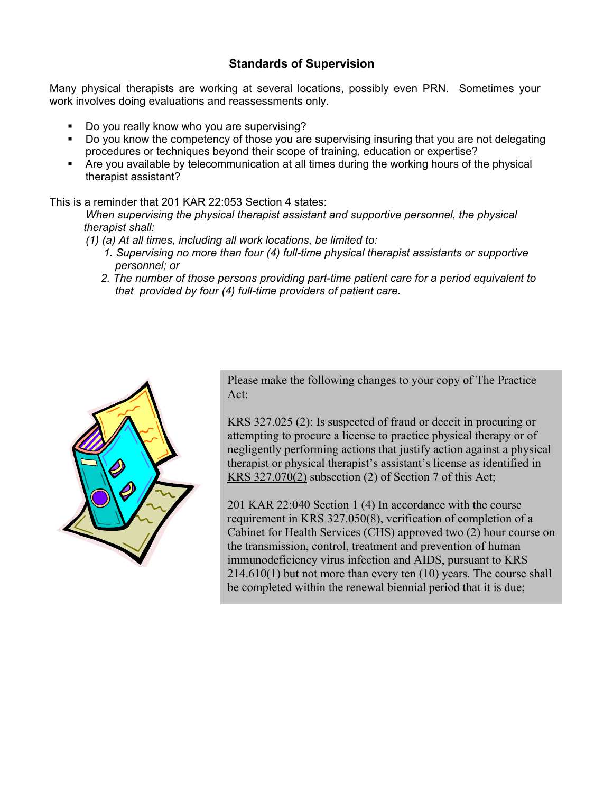### **Standards of Supervision**

Many physical therapists are working at several locations, possibly even PRN. Sometimes your work involves doing evaluations and reassessments only.

- Do you really know who you are supervising?
- Do you know the competency of those you are supervising insuring that you are not delegating procedures or techniques beyond their scope of training, education or expertise?
- Are you available by telecommunication at all times during the working hours of the physical therapist assistant?

### This is a reminder that 201 KAR 22:053 Section 4 states:

 *When supervising the physical therapist assistant and supportive personnel, the physical therapist shall:* 

- *(1) (a) At all times, including all work locations, be limited to:* 
	- *1. Supervising no more than four (4) full-time physical therapist assistants or supportive personnel; or*
	- *2. The number of those persons providing part-time patient care for a period equivalent to that provided by four (4) full-time providers of patient care.*



Please make the following changes to your copy of The Practice Act:

KRS 327.025 (2): Is suspected of fraud or deceit in procuring or attempting to procure a license to practice physical therapy or of negligently performing actions that justify action against a physical therapist or physical therapist's assistant's license as identified in KRS 327.070(2) subsection (2) of Section 7 of this Act;

201 KAR 22:040 Section 1 (4) In accordance with the course requirement in KRS 327.050(8), verification of completion of a Cabinet for Health Services (CHS) approved two (2) hour course on the transmission, control, treatment and prevention of human immunodeficiency virus infection and AIDS, pursuant to KRS 214.610(1) but not more than every ten (10) years. The course shall be completed within the renewal biennial period that it is due;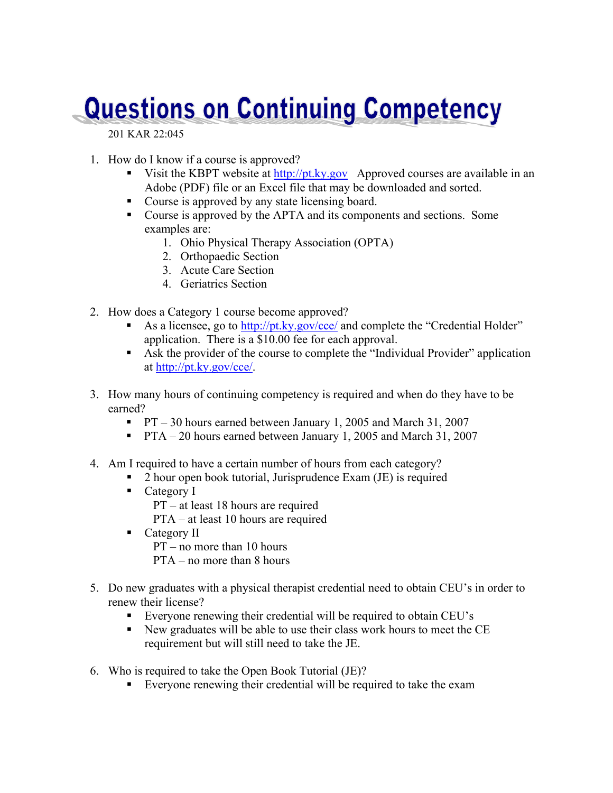# **Questions on Continuing Competency**

201 KAR 22:045

- 1. How do I know if a course is approved?
	- Visit the KBPT website at http://pt.ky.gov Approved courses are available in an Adobe (PDF) file or an Excel file that may be downloaded and sorted.
	- Course is approved by any state licensing board.
	- Course is approved by the APTA and its components and sections. Some examples are:
		- 1. Ohio Physical Therapy Association (OPTA)
		- 2. Orthopaedic Section
		- 3. Acute Care Section
		- 4. Geriatrics Section
- 2. How does a Category 1 course become approved?
	- As a licensee, go to http://pt.ky.gov/cce/ and complete the "Credential Holder" application. There is a \$10.00 fee for each approval.
	- Ask the provider of the course to complete the "Individual Provider" application at http://pt.ky.gov/cce/.
- 3. How many hours of continuing competency is required and when do they have to be earned?
	- **PT** 30 hours earned between January 1, 2005 and March 31, 2007
	- **PTA** 20 hours earned between January 1, 2005 and March 31, 2007
- 4. Am I required to have a certain number of hours from each category?
	- 2 hour open book tutorial, Jurisprudence Exam (JE) is required
	- Category I PT – at least 18 hours are required PTA – at least 10 hours are required
	- Category II
		- PT no more than 10 hours
		- PTA no more than 8 hours
- 5. Do new graduates with a physical therapist credential need to obtain CEU's in order to renew their license?
	- Everyone renewing their credential will be required to obtain CEU's
	- New graduates will be able to use their class work hours to meet the CE requirement but will still need to take the JE.
- 6. Who is required to take the Open Book Tutorial (JE)?
	- Everyone renewing their credential will be required to take the exam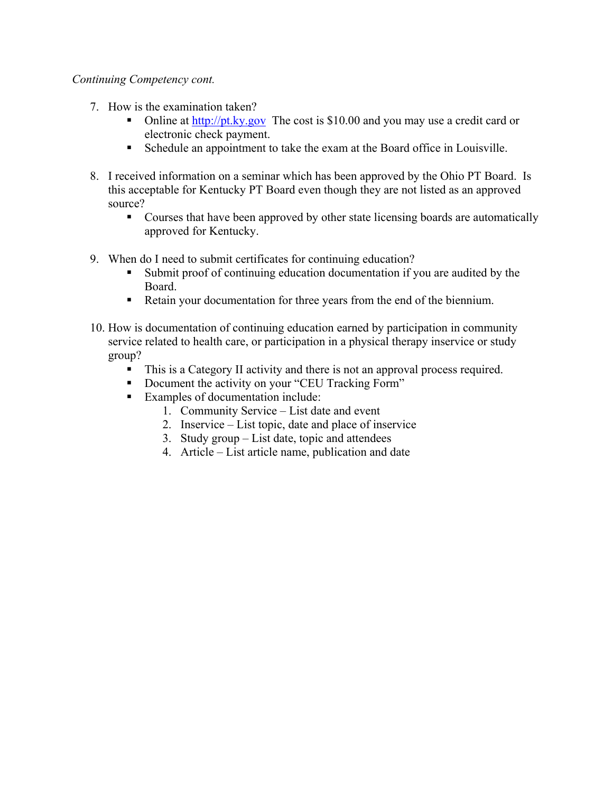### *Continuing Competency cont.*

- 7. How is the examination taken?
	- Online at  $\frac{http://pt.ky.gov}{}$  The cost is \$10.00 and you may use a credit card or electronic check payment.
	- Schedule an appointment to take the exam at the Board office in Louisville.
- 8. I received information on a seminar which has been approved by the Ohio PT Board. Is this acceptable for Kentucky PT Board even though they are not listed as an approved source?
	- Courses that have been approved by other state licensing boards are automatically approved for Kentucky.
- 9. When do I need to submit certificates for continuing education?
	- Submit proof of continuing education documentation if you are audited by the Board.
	- Retain your documentation for three years from the end of the biennium.
- 10. How is documentation of continuing education earned by participation in community service related to health care, or participation in a physical therapy inservice or study group?
	- This is a Category II activity and there is not an approval process required.
	- Document the activity on your "CEU Tracking Form"
	- Examples of documentation include:
		- 1. Community Service List date and event
		- 2. Inservice List topic, date and place of inservice
		- 3. Study group List date, topic and attendees
		- 4. Article List article name, publication and date